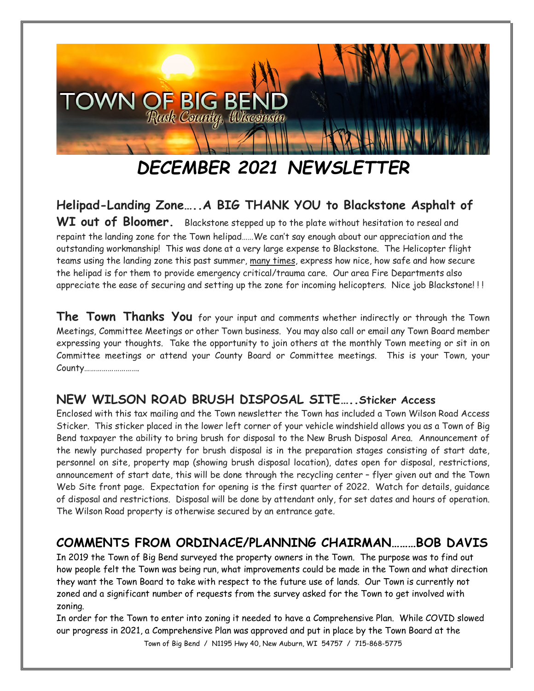

# *DECEMBER 2021 NEWSLETTER*

**Helipad-Landing Zone…..A BIG THANK YOU to Blackstone Asphalt of**  WI out of Bloomer. Blackstone stepped up to the plate without hesitation to reseal and repaint the landing zone for the Town helipad……We can't say enough about our appreciation and the outstanding workmanship! This was done at a very large expense to Blackstone. The Helicopter flight teams using the landing zone this past summer, many times, express how nice, how safe and how secure the helipad is for them to provide emergency critical/trauma care. Our area Fire Departments also appreciate the ease of securing and setting up the zone for incoming helicopters. Nice job Blackstone! ! !

**The Town Thanks You** for your input and comments whether indirectly or through the Town Meetings, Committee Meetings or other Town business. You may also call or email any Town Board member expressing your thoughts. Take the opportunity to join others at the monthly Town meeting or sit in on Committee meetings or attend your County Board or Committee meetings. This is your Town, your County……………………….

## **NEW WILSON ROAD BRUSH DISPOSAL SITE…..Sticker Access**

Enclosed with this tax mailing and the Town newsletter the Town has included a Town Wilson Road Access Sticker. This sticker placed in the lower left corner of your vehicle windshield allows you as a Town of Big Bend taxpayer the ability to bring brush for disposal to the New Brush Disposal Area. Announcement of the newly purchased property for brush disposal is in the preparation stages consisting of start date, personnel on site, property map (showing brush disposal location), dates open for disposal, restrictions, announcement of start date, this will be done through the recycling center – flyer given out and the Town Web Site front page. Expectation for opening is the first quarter of 2022. Watch for details, guidance of disposal and restrictions. Disposal will be done by attendant only, for set dates and hours of operation. The Wilson Road property is otherwise secured by an entrance gate.

## **COMMENTS FROM ORDINACE/PLANNING CHAIRMAN………BOB DAVIS**

In 2019 the Town of Big Bend surveyed the property owners in the Town. The purpose was to find out how people felt the Town was being run, what improvements could be made in the Town and what direction they want the Town Board to take with respect to the future use of lands. Our Town is currently not zoned and a significant number of requests from the survey asked for the Town to get involved with zoning.

Town of Big Bend / N1195 Hwy 40, New Auburn, WI 54757 / 715-868-5775 In order for the Town to enter into zoning it needed to have a Comprehensive Plan. While COVID slowed our progress in 2021, a Comprehensive Plan was approved and put in place by the Town Board at the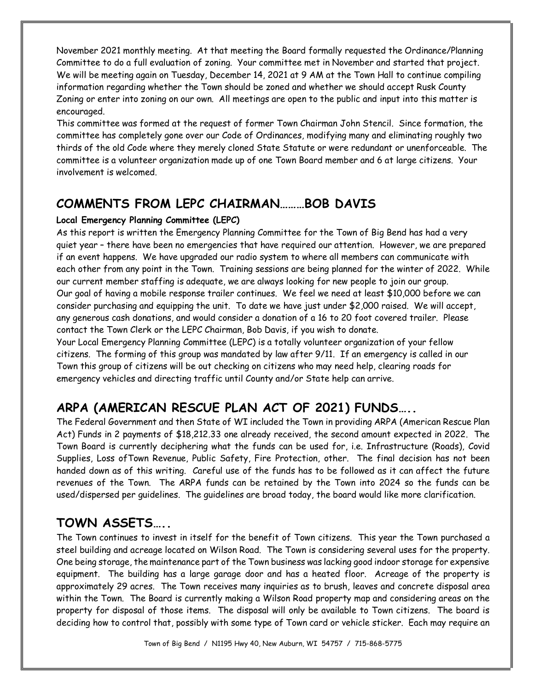November 2021 monthly meeting. At that meeting the Board formally requested the Ordinance/Planning Committee to do a full evaluation of zoning. Your committee met in November and started that project. We will be meeting again on Tuesday, December 14, 2021 at 9 AM at the Town Hall to continue compiling information regarding whether the Town should be zoned and whether we should accept Rusk County Zoning or enter into zoning on our own. All meetings are open to the public and input into this matter is encouraged.

This committee was formed at the request of former Town Chairman John Stencil. Since formation, the committee has completely gone over our Code of Ordinances, modifying many and eliminating roughly two thirds of the old Code where they merely cloned State Statute or were redundant or unenforceable. The committee is a volunteer organization made up of one Town Board member and 6 at large citizens. Your involvement is welcomed.

#### **COMMENTS FROM LEPC CHAIRMAN………BOB DAVIS**

#### **Local Emergency Planning Committee (LEPC)**

As this report is written the Emergency Planning Committee for the Town of Big Bend has had a very quiet year – there have been no emergencies that have required our attention. However, we are prepared if an event happens. We have upgraded our radio system to where all members can communicate with each other from any point in the Town. Training sessions are being planned for the winter of 2022. While our current member staffing is adequate, we are always looking for new people to join our group. Our goal of having a mobile response trailer continues. We feel we need at least \$10,000 before we can consider purchasing and equipping the unit. To date we have just under \$2,000 raised. We will accept, any generous cash donations, and would consider a donation of a 16 to 20 foot covered trailer. Please contact the Town Clerk or the LEPC Chairman, Bob Davis, if you wish to donate.

Your Local Emergency Planning Committee (LEPC) is a totally volunteer organization of your fellow citizens. The forming of this group was mandated by law after 9/11. If an emergency is called in our Town this group of citizens will be out checking on citizens who may need help, clearing roads for emergency vehicles and directing traffic until County and/or State help can arrive.

# **ARPA (AMERICAN RESCUE PLAN ACT OF 2021) FUNDS…..**

The Federal Government and then State of WI included the Town in providing ARPA (American Rescue Plan Act) Funds in 2 payments of \$18,212.33 one already received, the second amount expected in 2022. The Town Board is currently deciphering what the funds can be used for, i.e. Infrastructure (Roads), Covid Supplies, Loss ofTown Revenue, Public Safety, Fire Protection, other. The final decision has not been handed down as of this writing. Careful use of the funds has to be followed as it can affect the future revenues of the Town. The ARPA funds can be retained by the Town into 2024 so the funds can be used/dispersed per guidelines. The guidelines are broad today, the board would like more clarification.

# **TOWN ASSETS…..**

The Town continues to invest in itself for the benefit of Town citizens. This year the Town purchased a steel building and acreage located on Wilson Road. The Town is considering several uses for the property. One being storage, the maintenance part of the Town business was lacking good indoor storage for expensive equipment. The building has a large garage door and has a heated floor. Acreage of the property is approximately 29 acres. The Town receives many inquiries as to brush, leaves and concrete disposal area within the Town. The Board is currently making a Wilson Road property map and considering areas on the property for disposal of those items. The disposal will only be available to Town citizens. The board is deciding how to control that, possibly with some type of Town card or vehicle sticker. Each may require an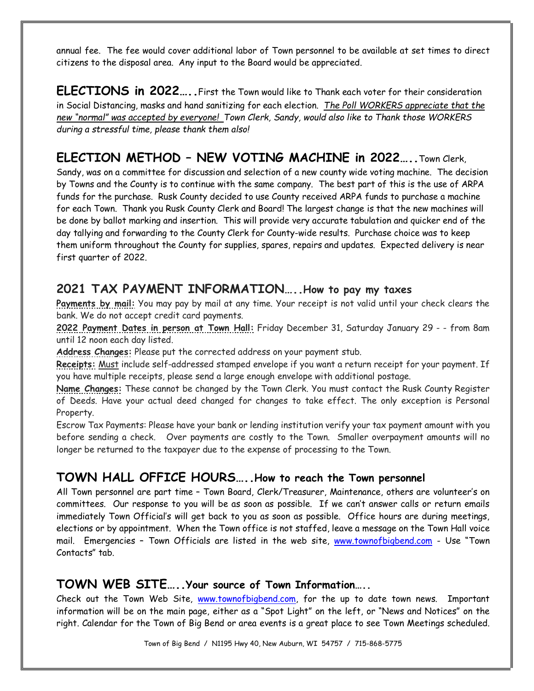annual fee. The fee would cover additional labor of Town personnel to be available at set times to direct citizens to the disposal area. Any input to the Board would be appreciated.

**ELECTIONS in 2022…..**First the Town would like to Thank each voter for their consideration in Social Distancing, masks and hand sanitizing for each election. *The Poll WORKERS appreciate that the new "normal" was accepted by everyone! Town Clerk, Sandy, would also like to Thank those WORKERS during a stressful time, please thank them also!*

## **ELECTION METHOD – NEW VOTING MACHINE in 2022…..**Town Clerk,

Sandy, was on a committee for discussion and selection of a new county wide voting machine. The decision by Towns and the County is to continue with the same company. The best part of this is the use of ARPA funds for the purchase. Rusk County decided to use County received ARPA funds to purchase a machine for each Town. Thank you Rusk County Clerk and Board! The largest change is that the new machines will be done by ballot marking and insertion. This will provide very accurate tabulation and quicker end of the day tallying and forwarding to the County Clerk for County-wide results. Purchase choice was to keep them uniform throughout the County for supplies, spares, repairs and updates. Expected delivery is near first quarter of 2022.

#### **2021 TAX PAYMENT INFORMATION…..How to pay my taxes**

**Payments by mail:** You may pay by mail at any time. Your receipt is not valid until your check clears the bank. We do not accept credit card payments.

**2022 Payment Dates in person at Town Hall:** Friday December 31, Saturday January 29 - - from 8am until 12 noon each day listed.

**Address Changes:** Please put the corrected address on your payment stub.

**Receipts:** Must include self-addressed stamped envelope if you want a return receipt for your payment. If you have multiple receipts, please send a large enough envelope with additional postage.

**Name Changes:** These cannot be changed by the Town Clerk. You must contact the Rusk County Register of Deeds. Have your actual deed changed for changes to take effect. The only exception is Personal Property.

Escrow Tax Payments: Please have your bank or lending institution verify your tax payment amount with you before sending a check. Over payments are costly to the Town. Smaller overpayment amounts will no longer be returned to the taxpayer due to the expense of processing to the Town.

## **TOWN HALL OFFICE HOURS…..How to reach the Town personnel**

All Town personnel are part time – Town Board, Clerk/Treasurer, Maintenance, others are volunteer's on committees. Our response to you will be as soon as possible. If we can't answer calls or return emails immediately Town Official's will get back to you as soon as possible. Office hours are during meetings, elections or by appointment. When the Town office is not staffed, leave a message on the Town Hall voice mail. Emergencies – Town Officials are listed in the web site, [www.townofbigbend.com](http://www.townofbigbend.com/) - Use "Town Contacts" tab.

#### **TOWN WEB SITE…..Your source of Town Information…..**

Check out the Town Web Site, [www.townofbigbend.com,](http://www.townofbigbend.com/) for the up to date town news. Important information will be on the main page, either as a "Spot Light" on the left, or "News and Notices" on the right. Calendar for the Town of Big Bend or area events is a great place to see Town Meetings scheduled.